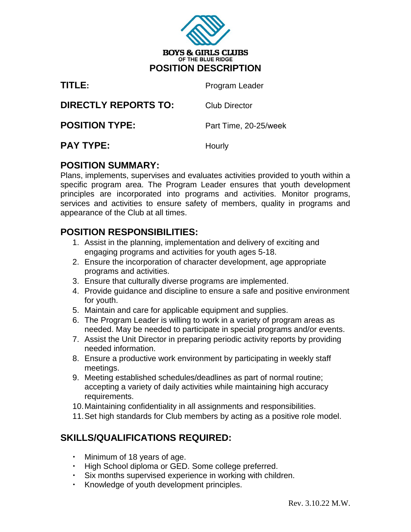

| TITLE:                      | Program Leader        |
|-----------------------------|-----------------------|
| <b>DIRECTLY REPORTS TO:</b> | Club Director         |
| <b>POSITION TYPE:</b>       | Part Time, 20-25/week |

**PAY TYPE:**

**Hourly** 

## **POSITION SUMMARY:**

Plans, implements, supervises and evaluates activities provided to youth within a specific program area. The Program Leader ensures that youth development principles are incorporated into programs and activities. Monitor programs, services and activities to ensure safety of members, quality in programs and appearance of the Club at all times.

## **POSITION RESPONSIBILITIES:**

- 1. Assist in the planning, implementation and delivery of exciting and engaging programs and activities for youth ages 5-18.
- 2. Ensure the incorporation of character development, age appropriate programs and activities.
- 3. Ensure that culturally diverse programs are implemented.
- 4. Provide guidance and discipline to ensure a safe and positive environment for youth.
- 5. Maintain and care for applicable equipment and supplies.
- 6. The Program Leader is willing to work in a variety of program areas as needed. May be needed to participate in special programs and/or events.
- 7. Assist the Unit Director in preparing periodic activity reports by providing needed information.
- 8. Ensure a productive work environment by participating in weekly staff meetings.
- 9. Meeting established schedules/deadlines as part of normal routine; accepting a variety of daily activities while maintaining high accuracy requirements.
- 10.Maintaining confidentiality in all assignments and responsibilities.
- 11.Set high standards for Club members by acting as a positive role model.

# **SKILLS/QUALIFICATIONS REQUIRED:**

- $\cdot$  Minimum of 18 years of age.
- High School diploma or GED. Some college preferred.
- Six months supervised experience in working with children.
- Knowledge of youth development principles.